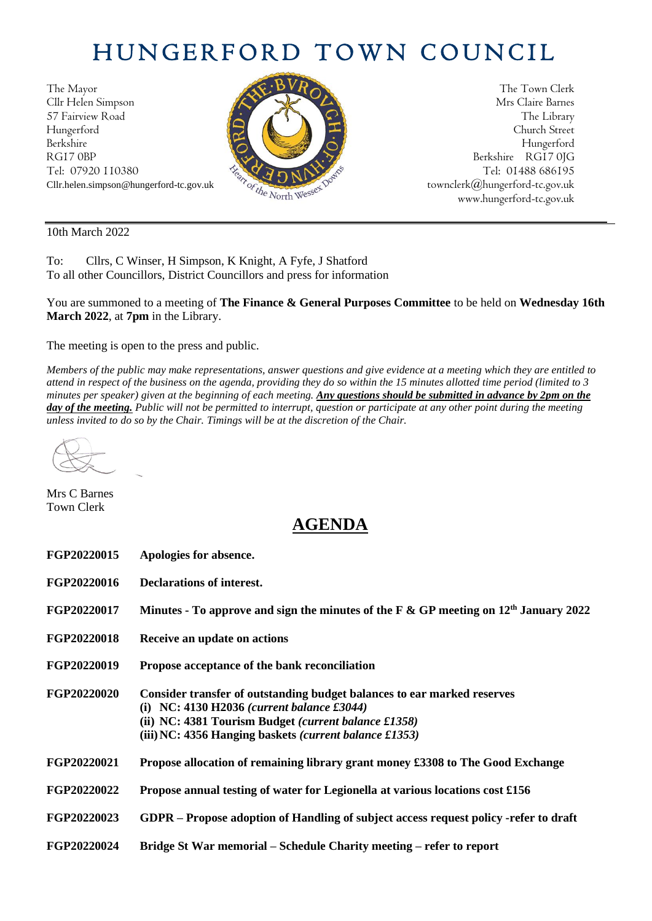## HUNGERFORD TOWN COUNCIL

The Mayor The Town Clerk<br>Clir Helen Simpson Mrs Claire Barnes Cllr Helen Simpson 57 Fairview Road The Library (2018) The Library Hungerford Church Street Berkshire Hungerford RG17 0BP Berkshire RG17 0JG Tel: 07920 110380  $\frac{1}{2} \sqrt{2} \sqrt{2} \sqrt{N^2}$  Tel: 01488 686195



Cllr.helen.simpson@hungerford-tc.gov.uk [townclerk@hungerford-tc.gov.uk](mailto:townclerk@hungerford-tc.gov.uk) townclerk@hungerford-tc.gov.uk www.hungerford-tc.gov.uk www.hungerford-tc.gov.uk

10th March 2022

To: Cllrs, C Winser, H Simpson, K Knight, A Fyfe, J Shatford To all other Councillors, District Councillors and press for information

You are summoned to a meeting of **The Finance & General Purposes Committee** to be held on **Wednesday 16th March 2022**, at **7pm** in the Library.

The meeting is open to the press and public.

*Members of the public may make representations, answer questions and give evidence at a meeting which they are entitled to attend in respect of the business on the agenda, providing they do so within the 15 minutes allotted time period (limited to 3 minutes per speaker) given at the beginning of each meeting. Any questions should be submitted in advance by 2pm on the day of the meeting. Public will not be permitted to interrupt, question or participate at any other point during the meeting unless invited to do so by the Chair. Timings will be at the discretion of the Chair.* 

Mrs C Barnes Town Clerk

## **AGENDA**

| FGP20220015 | Apologies for absence.                                                                                                                                                                                                                                   |
|-------------|----------------------------------------------------------------------------------------------------------------------------------------------------------------------------------------------------------------------------------------------------------|
| FGP20220016 | <b>Declarations of interest.</b>                                                                                                                                                                                                                         |
| FGP20220017 | Minutes - To approve and sign the minutes of the F & GP meeting on $12th$ January 2022                                                                                                                                                                   |
| FGP20220018 | Receive an update on actions                                                                                                                                                                                                                             |
| FGP20220019 | Propose acceptance of the bank reconciliation                                                                                                                                                                                                            |
| FGP20220020 | Consider transfer of outstanding budget balances to ear marked reserves<br>(i) NC: 4130 H2036 (current balance $\pounds 3044$ )<br>(ii) NC: 4381 Tourism Budget <i>(current balance £1358)</i><br>(iii) NC: 4356 Hanging baskets (current balance £1353) |
| FGP20220021 | Propose allocation of remaining library grant money £3308 to The Good Exchange                                                                                                                                                                           |
| FGP20220022 | Propose annual testing of water for Legionella at various locations cost £156                                                                                                                                                                            |
| FGP20220023 | GDPR – Propose adoption of Handling of subject access request policy -refer to draft                                                                                                                                                                     |
| FGP20220024 | Bridge St War memorial – Schedule Charity meeting – refer to report                                                                                                                                                                                      |